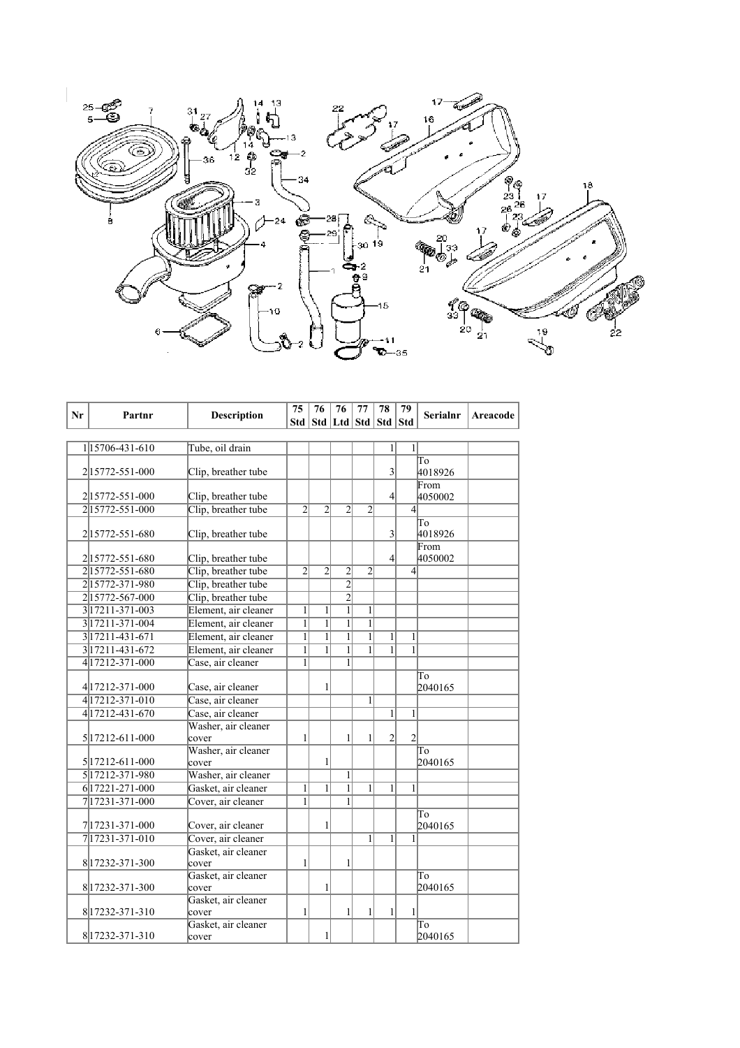

| Nr | Partnr              | <b>Description</b>           | 75             | 76             | 76                          | 77             | 78           | 79               | <b>Serialnr</b> | Areacode |
|----|---------------------|------------------------------|----------------|----------------|-----------------------------|----------------|--------------|------------------|-----------------|----------|
|    |                     |                              | Std            |                | Std   Ltd   Std   Std   Std |                |              |                  |                 |          |
|    |                     |                              |                |                |                             |                |              |                  |                 |          |
|    | 115706-431-610      | Tube, oil drain              |                |                |                             |                | 1            | $\mathbf{1}$     |                 |          |
|    |                     |                              |                |                |                             |                |              |                  | To              |          |
|    | 2 15772-551-000     | Clip, breather tube          |                |                |                             |                | 3            |                  | 4018926         |          |
|    |                     |                              |                |                |                             |                |              |                  | From            |          |
|    | 215772-551-000      | Clip, breather tube          |                |                |                             |                | 4            |                  | 4050002         |          |
|    | 215772-551-000      | Clip, breather tube          | $\overline{2}$ | $\overline{2}$ | $\overline{2}$              | $\overline{2}$ |              | $\left 4\right $ |                 |          |
|    | 215772-551-680      | Clip, breather tube          |                |                |                             |                | 3            |                  | To<br>4018926   |          |
|    | 215772-551-680      | Clip, breather tube          |                |                |                             |                | 4            |                  | From<br>4050002 |          |
|    | 215772-551-680      | Clip, breather tube          | $\overline{2}$ | $\overline{2}$ | $\overline{\mathbf{c}}$     | $\overline{2}$ |              | $\overline{4}$   |                 |          |
|    | 215772-371-980      | Clip, breather tube          |                |                | $\overline{2}$              |                |              |                  |                 |          |
|    | 215772-567-000      | Clip, breather tube          |                |                | $\overline{2}$              |                |              |                  |                 |          |
|    | 3 17211 - 371 - 003 | Element, air cleaner         | $\overline{1}$ | $\mathbf{1}$   | $\overline{1}$              | $\overline{1}$ |              |                  |                 |          |
|    | 3 17211-371-004     | Element, air cleaner         | $\overline{1}$ | $\overline{1}$ | $\overline{1}$              | $\overline{1}$ |              |                  |                 |          |
|    | 3 17211-431-671     | Element, air cleaner         | $\mathbf{1}$   | $\mathbf{1}$   | 1                           | $\mathbf{1}$   | 1            | $\mathbf{1}$     |                 |          |
|    | 3 17211-431-672     | Element, air cleaner         | $\mathbf{1}$   | $\overline{1}$ | $\overline{1}$              | $\overline{1}$ | $\mathbf{1}$ | $\overline{1}$   |                 |          |
|    | 4 17212-371-000     | Case, air cleaner            | $\mathbf{1}$   |                | 1                           |                |              |                  |                 |          |
|    |                     |                              |                |                |                             |                |              |                  | To              |          |
|    | 4 17212-371-000     | Case, air cleaner            |                | 1              |                             |                |              |                  | 2040165         |          |
|    | 4 17212-371-010     | Case, air cleaner            |                |                |                             | $\mathbf{1}$   |              |                  |                 |          |
|    | 4 17212-431-670     | Case, air cleaner            |                |                |                             |                | $\mathbf{1}$ | $\mathbf{1}$     |                 |          |
|    |                     | Washer, air cleaner          |                |                |                             |                |              |                  |                 |          |
|    | 5 17212-611-000     | cover                        | $\mathbf{1}$   |                | 1                           | 1              | 2            | $\overline{2}$   |                 |          |
|    |                     | Washer, air cleaner          |                |                |                             |                |              |                  | To              |          |
|    | 5 17212-611-000     | cover                        |                | $\mathbf{1}$   |                             |                |              |                  | 2040165         |          |
|    | 5 17212-371-980     | Washer, air cleaner          |                |                | $\mathbf{1}$                |                |              |                  |                 |          |
|    | 6 17221-271-000     | Gasket, air cleaner          | $\mathbf{1}$   | $\mathbf{1}$   | $\mathbf{1}$                | 1              | 1            | $\mathbf{1}$     |                 |          |
|    | 7 17231-371-000     | Cover, air cleaner           | $\mathbf{1}$   |                | 1                           |                |              |                  |                 |          |
|    |                     |                              |                |                |                             |                |              |                  | To              |          |
|    | 7 17231-371-000     | Cover, air cleaner           |                | 1              |                             |                |              |                  | 2040165         |          |
|    | 7 17231-371-010     | Cover, air cleaner           |                |                |                             | 1              | 1            | 1                |                 |          |
|    |                     | Gasket, air cleaner          |                |                |                             |                |              |                  |                 |          |
|    | 8 17232-371-300     | cover<br>Gasket, air cleaner | $\mathbf{1}$   |                | 1                           |                |              |                  | To              |          |
|    | 8 17232-371-300     | cover                        |                | 1              |                             |                |              |                  | 2040165         |          |
|    |                     | Gasket, air cleaner          |                |                |                             |                |              |                  |                 |          |
|    | 8 17232-371-310     | cover                        | 1              |                | 1                           | 1              | $\mathbf{1}$ | $\mathbf{1}$     |                 |          |
|    |                     | Gasket, air cleaner          |                |                |                             |                |              |                  | To              |          |
|    | 8 17232-371-310     | cover                        |                | $\mathbf{1}$   |                             |                |              |                  | 2040165         |          |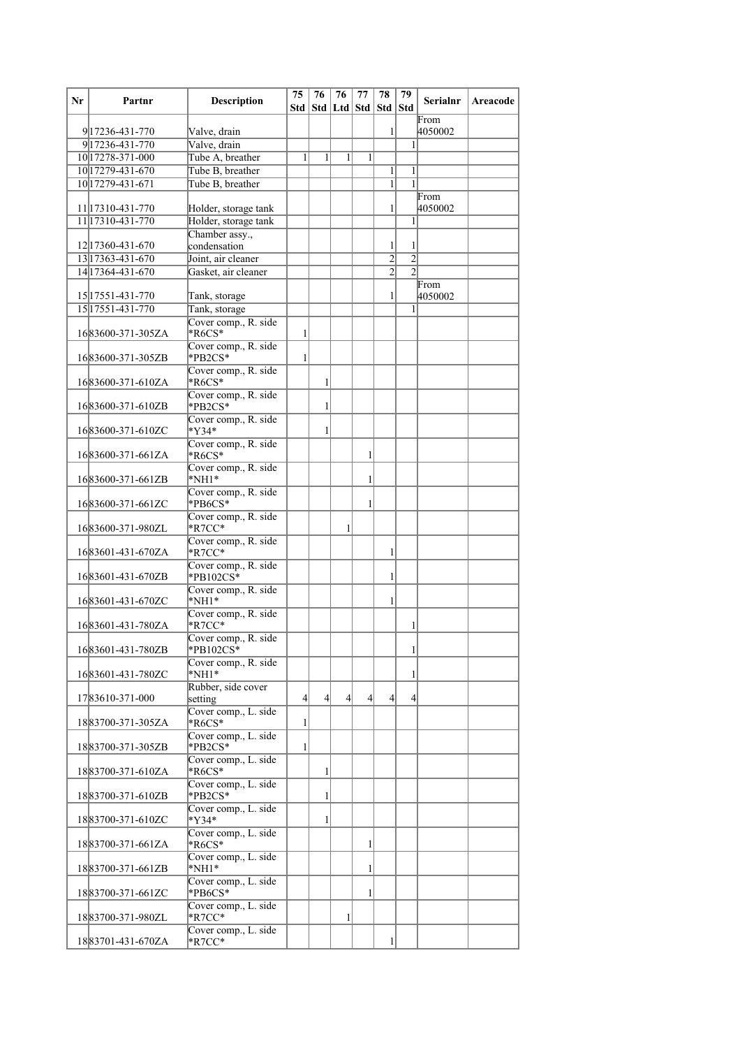| Nr | Partnr                             | <b>Description</b>                           | 75<br>Std       | 76            | 76<br>Std   Ltd   Std   Std   Std | 77 | 78             | 79                               | <b>Serialnr</b> | Areacode |
|----|------------------------------------|----------------------------------------------|-----------------|---------------|-----------------------------------|----|----------------|----------------------------------|-----------------|----------|
|    |                                    |                                              |                 |               |                                   |    |                |                                  | From            |          |
|    | 9 17236-431-770<br>9 17236-431-770 | Valve, drain<br>Valve, drain                 |                 |               |                                   |    | 1              | 1                                | 4050002         |          |
|    | 10 17278-371-000                   | Tube A, breather                             | 1               | 1             | 1                                 | 1  |                |                                  |                 |          |
|    | 10 17279-431-670                   | Tube B, breather                             |                 |               |                                   |    | 1              | 1                                |                 |          |
|    | 10 17279-431-671                   | Tube B, breather                             |                 |               |                                   |    | 1              | 1                                |                 |          |
|    | 11 17310-431-770                   |                                              |                 |               |                                   |    |                |                                  | From            |          |
|    | 11 173 10 - 431 - 770              | Holder, storage tank<br>Holder, storage tank |                 |               |                                   |    | 1              | 1                                | 4050002         |          |
|    |                                    | Chamber assy.,                               |                 |               |                                   |    |                |                                  |                 |          |
|    | 12 17360-431-670                   | condensation                                 |                 |               |                                   |    | 1              | 1                                |                 |          |
|    | 13 17363-431-670                   | Joint, air cleaner                           |                 |               |                                   |    | $\overline{2}$ | $\overline{2}$<br>$\mathfrak{D}$ |                 |          |
|    | 14 17364-431-670                   | Gasket, air cleaner                          |                 |               |                                   |    | $\overline{2}$ |                                  | From            |          |
|    | 15 17551-431-770                   | Tank, storage                                |                 |               |                                   |    | 1              |                                  | 4050002         |          |
|    | 15 1755 1-431-770                  | Tank, storage                                |                 |               |                                   |    |                | 1                                |                 |          |
|    | 1683600-371-305ZA                  | Cover comp., R. side<br>$*$ R6CS $*$         | 1               |               |                                   |    |                |                                  |                 |          |
|    | 1683600-371-305ZB                  | Cover comp., R. side<br>*PB2CS*              | 1               |               |                                   |    |                |                                  |                 |          |
|    | 1683600-371-610ZA                  | Cover comp., R. side<br>$*$ R6CS $*$         |                 | 1             |                                   |    |                |                                  |                 |          |
|    |                                    | Cover comp., R. side                         |                 |               |                                   |    |                |                                  |                 |          |
|    | 1683600-371-610ZB                  | *PB2CS*<br>Cover comp., R. side              |                 | 1             |                                   |    |                |                                  |                 |          |
|    | 1683600-371-610ZC                  | $*$ Y34 $*$<br>Cover comp., R. side          |                 | 1             |                                   |    |                |                                  |                 |          |
|    | 1683600-371-661ZA                  | *R6CS*<br>Cover comp., R. side               |                 |               |                                   | 1  |                |                                  |                 |          |
|    | 1683600-371-661ZB                  | $*NH1*$<br>Cover comp., R. side              |                 |               |                                   | 1  |                |                                  |                 |          |
|    | 1683600-371-661ZC                  | *PB6CS*<br>Cover comp., R. side              |                 |               |                                   | 1  |                |                                  |                 |          |
|    | 1683600-371-980ZL                  | $*$ R7CC $*$<br>Cover comp., R. side         |                 |               | 1                                 |    |                |                                  |                 |          |
|    | 1683601-431-670ZA                  | $*$ R7CC $*$<br>Cover comp., R. side         |                 |               |                                   |    | 1              |                                  |                 |          |
|    | 1683601-431-670ZB                  | $*$ PB102CS $*$<br>Cover comp., R. side      |                 |               |                                   |    | 1              |                                  |                 |          |
|    | 1683601-431-670ZC                  | $*NH1*$                                      |                 |               |                                   |    | 1              |                                  |                 |          |
|    | 1683601-431-780ZA                  | Cover comp., R. side<br>$*$ R7CC $*$         |                 |               |                                   |    |                | 1                                |                 |          |
|    | 1683601-431-780ZB                  | Cover comp., R. side<br>$*$ PB102CS $*$      |                 |               |                                   |    |                | $\mathbf{1}$                     |                 |          |
|    | 1683601-431-780ZC                  | Cover comp., R. side<br>$*NH1*$              |                 |               |                                   |    |                | 1                                |                 |          |
|    | 1783610-371-000                    | Rubber, side cover<br>setting                | $\vert 4 \vert$ | $\frac{4}{3}$ | $\vert$                           | 4  | $\overline{4}$ | 4                                |                 |          |
|    | 1883700-371-305ZA                  | Cover comp., L. side<br>$*$ R6CS $*$         | 1               |               |                                   |    |                |                                  |                 |          |
|    | 1883700-371-305ZB                  | Cover comp., L. side<br>*PB2CS*              | 1               |               |                                   |    |                |                                  |                 |          |
|    | 1883700-371-610ZA                  | Cover comp., L. side<br>$*R6CS*$             |                 | 1             |                                   |    |                |                                  |                 |          |
|    | 1883700-371-610ZB                  | Cover comp., L. side<br>*PB2CS*              |                 | 1             |                                   |    |                |                                  |                 |          |
|    | 1883700-371-610ZC                  | Cover comp., L. side<br>$*$ Y34*             |                 | 1             |                                   |    |                |                                  |                 |          |
|    | 1883700-371-661ZA                  | Cover comp., L. side<br>$*$ R6CS $*$         |                 |               |                                   | 1  |                |                                  |                 |          |
|    | 1883700-371-661ZB                  | Cover comp., L. side<br>$*NH1*$              |                 |               |                                   | 1  |                |                                  |                 |          |
|    | 1883700-371-661ZC                  | Cover comp., L. side<br>*PB6CS*              |                 |               |                                   | 1  |                |                                  |                 |          |
|    | 1883700-371-980ZL                  | Cover comp., L. side<br>$*$ R7CC $*$         |                 |               | 1                                 |    |                |                                  |                 |          |
|    | 1883701-431-670ZA                  | Cover comp., L. side<br>$*$ R7CC $*$         |                 |               |                                   |    |                |                                  |                 |          |